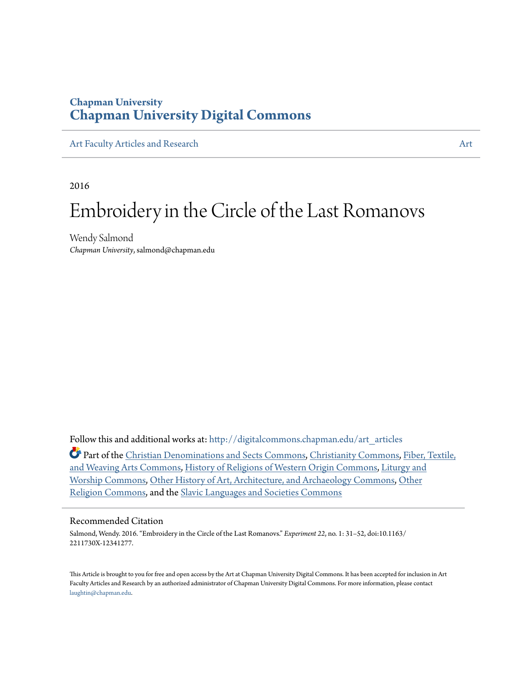### **Chapman University [Chapman University Digital Commons](http://digitalcommons.chapman.edu?utm_source=digitalcommons.chapman.edu%2Fart_articles%2F83&utm_medium=PDF&utm_campaign=PDFCoverPages)**

[Art Faculty Articles and Research](http://digitalcommons.chapman.edu/art_articles?utm_source=digitalcommons.chapman.edu%2Fart_articles%2F83&utm_medium=PDF&utm_campaign=PDFCoverPages) [Art](http://digitalcommons.chapman.edu/art?utm_source=digitalcommons.chapman.edu%2Fart_articles%2F83&utm_medium=PDF&utm_campaign=PDFCoverPages)

2016

# Embroidery in the Circle of the Last Romanovs

Wendy Salmond *Chapman University*, salmond@chapman.edu

Follow this and additional works at: [http://digitalcommons.chapman.edu/art\\_articles](http://digitalcommons.chapman.edu/art_articles?utm_source=digitalcommons.chapman.edu%2Fart_articles%2F83&utm_medium=PDF&utm_campaign=PDFCoverPages)

Part of the [Christian Denominations and Sects Commons](http://network.bepress.com/hgg/discipline/1184?utm_source=digitalcommons.chapman.edu%2Fart_articles%2F83&utm_medium=PDF&utm_campaign=PDFCoverPages), [Christianity Commons,](http://network.bepress.com/hgg/discipline/1181?utm_source=digitalcommons.chapman.edu%2Fart_articles%2F83&utm_medium=PDF&utm_campaign=PDFCoverPages) [Fiber, Textile,](http://network.bepress.com/hgg/discipline/1337?utm_source=digitalcommons.chapman.edu%2Fart_articles%2F83&utm_medium=PDF&utm_campaign=PDFCoverPages) [and Weaving Arts Commons](http://network.bepress.com/hgg/discipline/1337?utm_source=digitalcommons.chapman.edu%2Fart_articles%2F83&utm_medium=PDF&utm_campaign=PDFCoverPages), [History of Religions of Western Origin Commons](http://network.bepress.com/hgg/discipline/542?utm_source=digitalcommons.chapman.edu%2Fart_articles%2F83&utm_medium=PDF&utm_campaign=PDFCoverPages), [Liturgy and](http://network.bepress.com/hgg/discipline/1188?utm_source=digitalcommons.chapman.edu%2Fart_articles%2F83&utm_medium=PDF&utm_campaign=PDFCoverPages) [Worship Commons](http://network.bepress.com/hgg/discipline/1188?utm_source=digitalcommons.chapman.edu%2Fart_articles%2F83&utm_medium=PDF&utm_campaign=PDFCoverPages), [Other History of Art, Architecture, and Archaeology Commons,](http://network.bepress.com/hgg/discipline/517?utm_source=digitalcommons.chapman.edu%2Fart_articles%2F83&utm_medium=PDF&utm_campaign=PDFCoverPages) [Other](http://network.bepress.com/hgg/discipline/545?utm_source=digitalcommons.chapman.edu%2Fart_articles%2F83&utm_medium=PDF&utm_campaign=PDFCoverPages) [Religion Commons](http://network.bepress.com/hgg/discipline/545?utm_source=digitalcommons.chapman.edu%2Fart_articles%2F83&utm_medium=PDF&utm_campaign=PDFCoverPages), and the [Slavic Languages and Societies Commons](http://network.bepress.com/hgg/discipline/486?utm_source=digitalcommons.chapman.edu%2Fart_articles%2F83&utm_medium=PDF&utm_campaign=PDFCoverPages)

#### Recommended Citation

Salmond, Wendy. 2016. "Embroidery in the Circle of the Last Romanovs." *Experiment 22*, no. 1: 31–52, doi:10.1163/ 2211730X-12341277.

This Article is brought to you for free and open access by the Art at Chapman University Digital Commons. It has been accepted for inclusion in Art Faculty Articles and Research by an authorized administrator of Chapman University Digital Commons. For more information, please contact [laughtin@chapman.edu](mailto:laughtin@chapman.edu).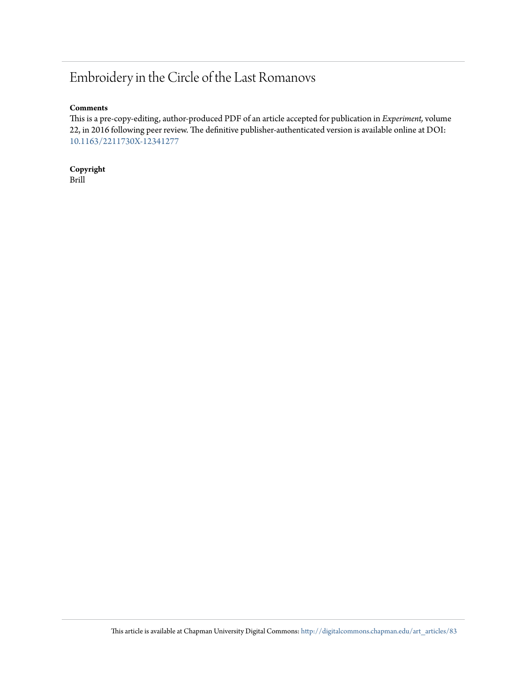## Embroidery in the Circle of the Last Romanovs

### **Comments**

This is a pre-copy-editing, author-produced PDF of an article accepted for publication in *Experiment,* volume 22, in 2016 following peer review. The definitive publisher-authenticated version is available online at DOI: [10.1163/2211730X-12341277](http://dx.doi.org/10.1163/2211730X-12341277)

**Copyright** Brill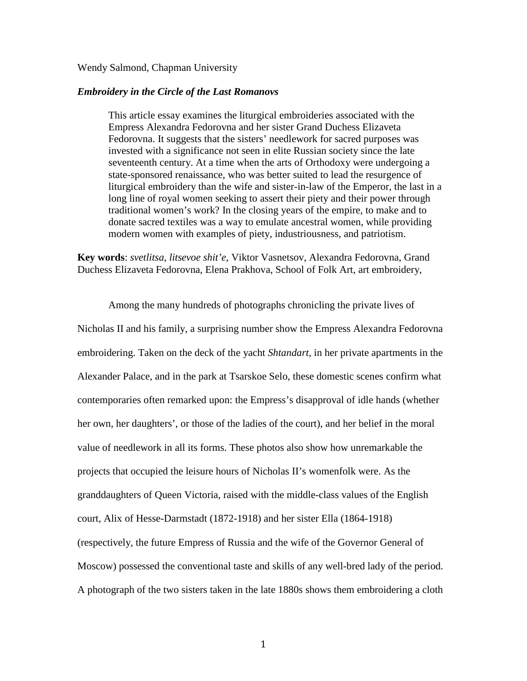### Wendy Salmond, Chapman University

### *Embroidery in the Circle of the Last Romanovs*

This article essay examines the liturgical embroideries associated with the Empress Alexandra Fedorovna and her sister Grand Duchess Elizaveta Fedorovna. It suggests that the sisters' needlework for sacred purposes was invested with a significance not seen in elite Russian society since the late seventeenth century. At a time when the arts of Orthodoxy were undergoing a state-sponsored renaissance, who was better suited to lead the resurgence of liturgical embroidery than the wife and sister-in-law of the Emperor, the last in a long line of royal women seeking to assert their piety and their power through traditional women's work? In the closing years of the empire, to make and to donate sacred textiles was a way to emulate ancestral women, while providing modern women with examples of piety, industriousness, and patriotism.

**Key words**: *svetlitsa*, *litsevoe shit'e*, Viktor Vasnetsov, Alexandra Fedorovna, Grand Duchess Elizaveta Fedorovna, Elena Prakhova, School of Folk Art, art embroidery,

Among the many hundreds of photographs chronicling the private lives of Nicholas II and his family, a surprising number show the Empress Alexandra Fedorovna embroidering. Taken on the deck of the yacht *Shtandart*, in her private apartments in the Alexander Palace, and in the park at Tsarskoe Selo, these domestic scenes confirm what contemporaries often remarked upon: the Empress's disapproval of idle hands (whether her own, her daughters', or those of the ladies of the court), and her belief in the moral value of needlework in all its forms. These photos also show how unremarkable the projects that occupied the leisure hours of Nicholas II's womenfolk were. As the granddaughters of Queen Victoria, raised with the middle-class values of the English court, Alix of Hesse-Darmstadt (1872-1918) and her sister Ella (1864-1918) (respectively, the future Empress of Russia and the wife of the Governor General of Moscow) possessed the conventional taste and skills of any well-bred lady of the period. A photograph of the two sisters taken in the late 1880s shows them embroidering a cloth

1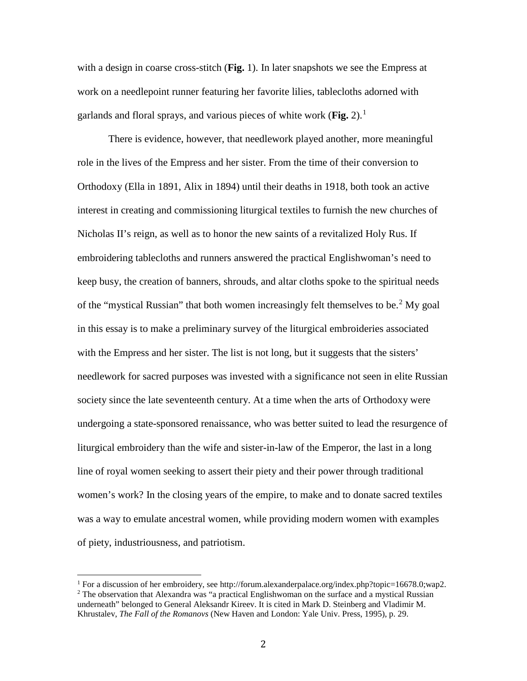with a design in coarse cross-stitch (**Fig.** 1). In later snapshots we see the Empress at work on a needlepoint runner featuring her favorite lilies, tablecloths adorned with garlands and floral sprays, and various pieces of white work (**Fig.** 2). [1](#page-3-0)

There is evidence, however, that needlework played another, more meaningful role in the lives of the Empress and her sister. From the time of their conversion to Orthodoxy (Ella in 1891, Alix in 1894) until their deaths in 1918, both took an active interest in creating and commissioning liturgical textiles to furnish the new churches of Nicholas II's reign, as well as to honor the new saints of a revitalized Holy Rus. If embroidering tablecloths and runners answered the practical Englishwoman's need to keep busy, the creation of banners, shrouds, and altar cloths spoke to the spiritual needs of the "mystical Russian" that both women increasingly felt themselves to be.<sup>[2](#page-3-1)</sup> My goal in this essay is to make a preliminary survey of the liturgical embroideries associated with the Empress and her sister. The list is not long, but it suggests that the sisters' needlework for sacred purposes was invested with a significance not seen in elite Russian society since the late seventeenth century. At a time when the arts of Orthodoxy were undergoing a state-sponsored renaissance, who was better suited to lead the resurgence of liturgical embroidery than the wife and sister-in-law of the Emperor, the last in a long line of royal women seeking to assert their piety and their power through traditional women's work? In the closing years of the empire, to make and to donate sacred textiles was a way to emulate ancestral women, while providing modern women with examples of piety, industriousness, and patriotism.

<span id="page-3-0"></span><sup>&</sup>lt;sup>1</sup> For a discussion of her embroidery, see http://forum.alexanderpalace.org/index.php?topic=16678.0;wap2. <sup>2</sup> The observation that Alexandra was "a practical Englishwoman on the surface and a mystical Russian

<span id="page-3-1"></span>underneath" belonged to General Aleksandr Kireev. It is cited in Mark D. Steinberg and Vladimir M. Khrustalev, *The Fall of the Romanovs* (New Haven and London: Yale Univ. Press, 1995), p. 29.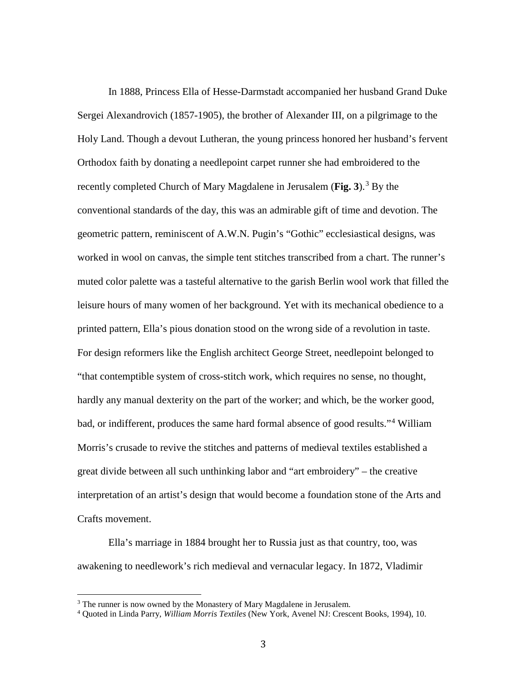In 1888, Princess Ella of Hesse-Darmstadt accompanied her husband Grand Duke Sergei Alexandrovich (1857-1905), the brother of Alexander III, on a pilgrimage to the Holy Land. Though a devout Lutheran, the young princess honored her husband's fervent Orthodox faith by donating a needlepoint carpet runner she had embroidered to the recently completed Church of Mary Magdalene in Jerusalem (**Fig. [3](#page-4-0)**).<sup>3</sup> By the conventional standards of the day, this was an admirable gift of time and devotion. The geometric pattern, reminiscent of A.W.N. Pugin's "Gothic" ecclesiastical designs, was worked in wool on canvas, the simple tent stitches transcribed from a chart. The runner's muted color palette was a tasteful alternative to the garish Berlin wool work that filled the leisure hours of many women of her background. Yet with its mechanical obedience to a printed pattern, Ella's pious donation stood on the wrong side of a revolution in taste. For design reformers like the English architect George Street, needlepoint belonged to "that contemptible system of cross-stitch work, which requires no sense, no thought, hardly any manual dexterity on the part of the worker; and which, be the worker good, bad, or indifferent, produces the same hard formal absence of good results."[4](#page-4-1) William Morris's crusade to revive the stitches and patterns of medieval textiles established a great divide between all such unthinking labor and "art embroidery" – the creative interpretation of an artist's design that would become a foundation stone of the Arts and Crafts movement.

Ella's marriage in 1884 brought her to Russia just as that country, too, was awakening to needlework's rich medieval and vernacular legacy. In 1872, Vladimir

<span id="page-4-0"></span> $3$  The runner is now owned by the Monastery of Mary Magdalene in Jerusalem.

<span id="page-4-1"></span><sup>4</sup> Quoted in Linda Parry, *William Morris Textiles* (New York, Avenel NJ: Crescent Books, 1994), 10.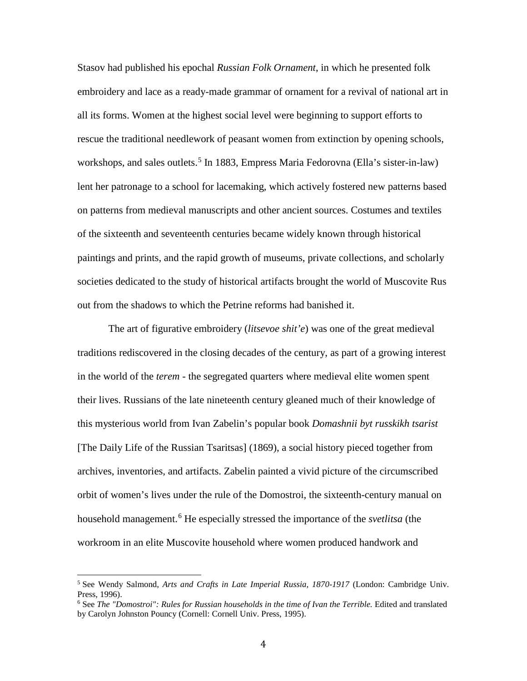Stasov had published his epochal *Russian Folk Ornament*, in which he presented folk embroidery and lace as a ready-made grammar of ornament for a revival of national art in all its forms. Women at the highest social level were beginning to support efforts to rescue the traditional needlework of peasant women from extinction by opening schools, workshops, and sales outlets.<sup>[5](#page-5-0)</sup> In 1883, Empress Maria Fedorovna (Ella's sister-in-law) lent her patronage to a school for lacemaking, which actively fostered new patterns based on patterns from medieval manuscripts and other ancient sources. Costumes and textiles of the sixteenth and seventeenth centuries became widely known through historical paintings and prints, and the rapid growth of museums, private collections, and scholarly societies dedicated to the study of historical artifacts brought the world of Muscovite Rus out from the shadows to which the Petrine reforms had banished it.

The art of figurative embroidery (*litsevoe shit'e*) was one of the great medieval traditions rediscovered in the closing decades of the century, as part of a growing interest in the world of the *terem* - the segregated quarters where medieval elite women spent their lives. Russians of the late nineteenth century gleaned much of their knowledge of this mysterious world from Ivan Zabelin's popular book *Domashnii byt russkikh tsarist*  [The Daily Life of the Russian Tsaritsas] (1869), a social history pieced together from archives, inventories, and artifacts. Zabelin painted a vivid picture of the circumscribed orbit of women's lives under the rule of the Domostroi, the sixteenth-century manual on household management. [6](#page-5-1) He especially stressed the importance of the *svetlitsa* (the workroom in an elite Muscovite household where women produced handwork and

<span id="page-5-0"></span><sup>5</sup> See Wendy Salmond, *Arts and Crafts in Late Imperial Russia, 1870-1917* (London: Cambridge Univ. Press, 1996).

<span id="page-5-1"></span><sup>6</sup> See *The "Domostroi": Rules for Russian households in the time of Ivan the Terrible.* Edited and translated by Carolyn Johnston Pouncy (Cornell: Cornell Univ. Press, 1995).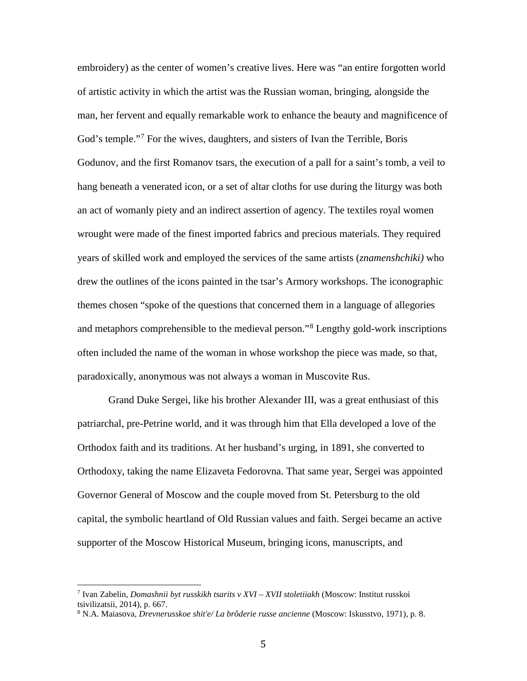embroidery) as the center of women's creative lives. Here was "an entire forgotten world of artistic activity in which the artist was the Russian woman, bringing, alongside the man, her fervent and equally remarkable work to enhance the beauty and magnificence of God's temple."<sup>[7](#page-6-0)</sup> For the wives, daughters, and sisters of Ivan the Terrible, Boris Godunov, and the first Romanov tsars, the execution of a pall for a saint's tomb, a veil to hang beneath a venerated icon, or a set of altar cloths for use during the liturgy was both an act of womanly piety and an indirect assertion of agency. The textiles royal women wrought were made of the finest imported fabrics and precious materials. They required years of skilled work and employed the services of the same artists (*znamenshchiki)* who drew the outlines of the icons painted in the tsar's Armory workshops. The iconographic themes chosen "spoke of the questions that concerned them in a language of allegories and metaphors comprehensible to the medieval person."[8](#page-6-1) Lengthy gold-work inscriptions often included the name of the woman in whose workshop the piece was made, so that, paradoxically, anonymous was not always a woman in Muscovite Rus.

Grand Duke Sergei, like his brother Alexander III, was a great enthusiast of this patriarchal, pre-Petrine world, and it was through him that Ella developed a love of the Orthodox faith and its traditions. At her husband's urging, in 1891, she converted to Orthodoxy, taking the name Elizaveta Fedorovna. That same year, Sergei was appointed Governor General of Moscow and the couple moved from St. Petersburg to the old capital, the symbolic heartland of Old Russian values and faith. Sergei became an active supporter of the Moscow Historical Museum, bringing icons, manuscripts, and

<span id="page-6-0"></span><sup>7</sup> Ivan Zabelin, *Domashnii byt russkikh tsarits v XVI – XVII stoletiiakh* (Moscow: Institut russkoi tsivilizatsii, 2014), p. 667.

<span id="page-6-1"></span><sup>8</sup> N.A. Maiasova, *Drevnerusskoe shit'e/ La brôderie russe ancienne* (Moscow: Iskusstvo, 1971), p. 8.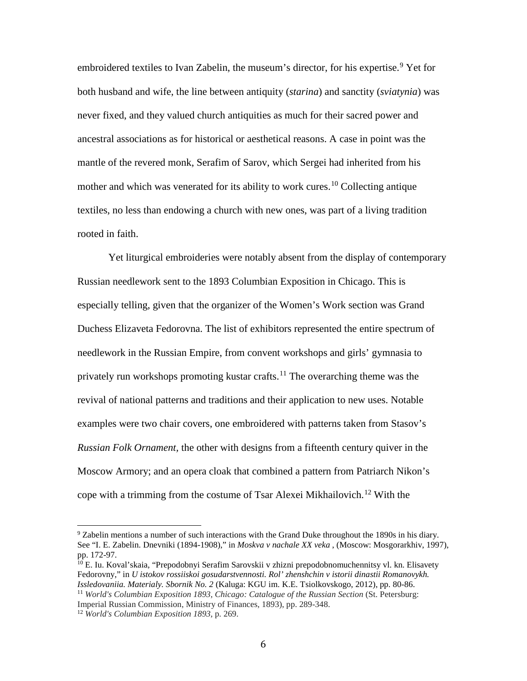embroidered textiles to Ivan Zabelin, the museum's director, for his expertise.<sup>[9](#page-7-0)</sup> Yet for both husband and wife, the line between antiquity (*starina*) and sanctity (*sviatynia*) was never fixed, and they valued church antiquities as much for their sacred power and ancestral associations as for historical or aesthetical reasons. A case in point was the mantle of the revered monk, Serafim of Sarov, which Sergei had inherited from his mother and which was venerated for its ability to work cures.<sup>[10](#page-7-1)</sup> Collecting antique textiles, no less than endowing a church with new ones, was part of a living tradition rooted in faith.

Yet liturgical embroideries were notably absent from the display of contemporary Russian needlework sent to the 1893 Columbian Exposition in Chicago. This is especially telling, given that the organizer of the Women's Work section was Grand Duchess Elizaveta Fedorovna. The list of exhibitors represented the entire spectrum of needlework in the Russian Empire, from convent workshops and girls' gymnasia to privately run workshops promoting kustar crafts.<sup>[11](#page-7-2)</sup> The overarching theme was the revival of national patterns and traditions and their application to new uses. Notable examples were two chair covers, one embroidered with patterns taken from Stasov's *Russian Folk Ornament,* the other with designs from a fifteenth century quiver in the Moscow Armory; and an opera cloak that combined a pattern from Patriarch Nikon's cope with a trimming from the costume of Tsar Alexei Mikhailovich.<sup>[12](#page-7-3)</sup> With the

<span id="page-7-0"></span><sup>&</sup>lt;sup>9</sup> Zabelin mentions a number of such interactions with the Grand Duke throughout the 1890s in his diary. See "I. E. Zabelin. Dnevniki (1894-1908)," in *Moskva v nachale XX veka* , (Moscow: Mosgorarkhiv, 1997), pp. 172-97.

<span id="page-7-1"></span><sup>&</sup>lt;sup>10</sup> E. Iu. Koval'skaia, "Prepodobnyi Serafim Sarovskii v zhizni prepodobnomuchennitsy vl. kn. Elisavety Fedorovny," in *U istokov rossiiskoi gosudarstvennosti. Rol' zhenshchin v istorii dinastii Romanovykh. Issledovaniia. Materialy. Sbornik No. 2* (Kaluga: KGU im. K.E. Tsiolkovskogo, 2012), pp. 80-86. 11 *World's Columbian Exposition 1893, Chicago: Catalogue of the Russian Section* (St. Petersburg:

<span id="page-7-2"></span>Imperial Russian Commission, Ministry of Finances, 1893), pp. 289-348.

<span id="page-7-3"></span><sup>12</sup> *World's Columbian Exposition 1893,* p. 269.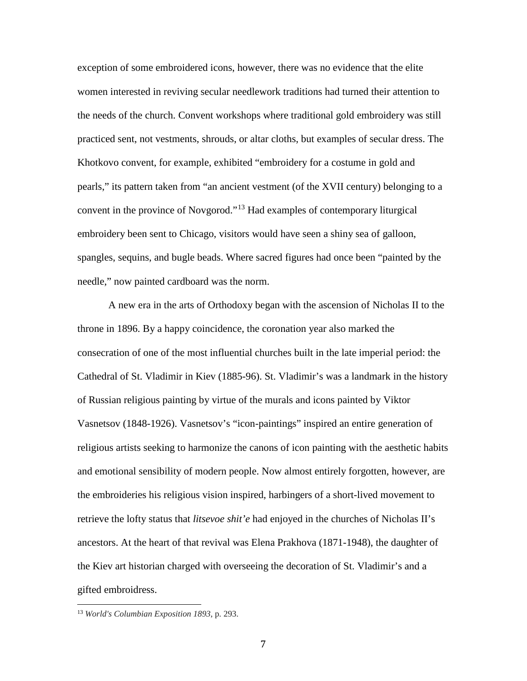exception of some embroidered icons, however, there was no evidence that the elite women interested in reviving secular needlework traditions had turned their attention to the needs of the church. Convent workshops where traditional gold embroidery was still practiced sent, not vestments, shrouds, or altar cloths, but examples of secular dress. The Khotkovo convent, for example, exhibited "embroidery for a costume in gold and pearls," its pattern taken from "an ancient vestment (of the XVII century) belonging to a convent in the province of Novgorod."[13](#page-8-0) Had examples of contemporary liturgical embroidery been sent to Chicago, visitors would have seen a shiny sea of galloon, spangles, sequins, and bugle beads. Where sacred figures had once been "painted by the needle," now painted cardboard was the norm.

A new era in the arts of Orthodoxy began with the ascension of Nicholas II to the throne in 1896. By a happy coincidence, the coronation year also marked the consecration of one of the most influential churches built in the late imperial period: the Cathedral of St. Vladimir in Kiev (1885-96). St. Vladimir's was a landmark in the history of Russian religious painting by virtue of the murals and icons painted by Viktor Vasnetsov (1848-1926). Vasnetsov's "icon-paintings" inspired an entire generation of religious artists seeking to harmonize the canons of icon painting with the aesthetic habits and emotional sensibility of modern people. Now almost entirely forgotten, however, are the embroideries his religious vision inspired, harbingers of a short-lived movement to retrieve the lofty status that *litsevoe shit'e* had enjoyed in the churches of Nicholas II's ancestors. At the heart of that revival was Elena Prakhova (1871-1948), the daughter of the Kiev art historian charged with overseeing the decoration of St. Vladimir's and a gifted embroidress.

<span id="page-8-0"></span><sup>13</sup> *World's Columbian Exposition 1893*, p. 293.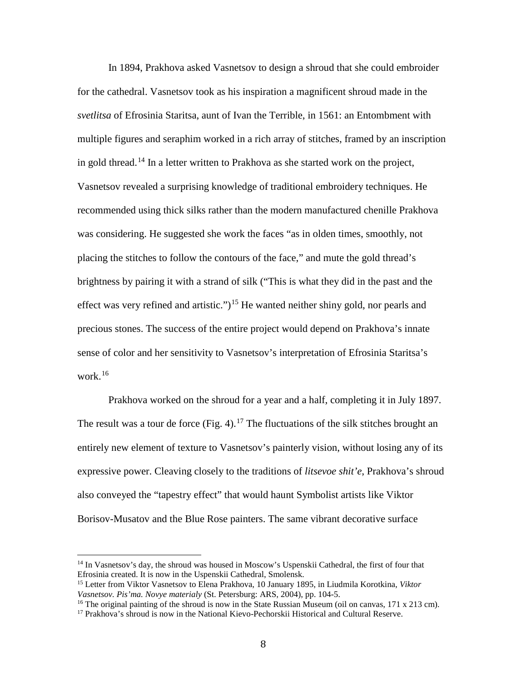In 1894, Prakhova asked Vasnetsov to design a shroud that she could embroider for the cathedral. Vasnetsov took as his inspiration a magnificent shroud made in the *svetlitsa* of Efrosinia Staritsa, aunt of Ivan the Terrible, in 1561: an Entombment with multiple figures and seraphim worked in a rich array of stitches, framed by an inscription in gold thread.<sup>[14](#page-9-0)</sup> In a letter written to Prakhova as she started work on the project, Vasnetsov revealed a surprising knowledge of traditional embroidery techniques. He recommended using thick silks rather than the modern manufactured chenille Prakhova was considering. He suggested she work the faces "as in olden times, smoothly, not placing the stitches to follow the contours of the face," and mute the gold thread's brightness by pairing it with a strand of silk ("This is what they did in the past and the effect was very refined and artistic.")<sup>[15](#page-9-1)</sup> He wanted neither shiny gold, nor pearls and precious stones. The success of the entire project would depend on Prakhova's innate sense of color and her sensitivity to Vasnetsov's interpretation of Efrosinia Staritsa's work. [16](#page-9-2)

Prakhova worked on the shroud for a year and a half, completing it in July 1897. The result was a tour de force  $(Fig. 4)$ .<sup>[17](#page-9-3)</sup> The fluctuations of the silk stitches brought an entirely new element of texture to Vasnetsov's painterly vision, without losing any of its expressive power. Cleaving closely to the traditions of *litsevoe shit'e*, Prakhova's shroud also conveyed the "tapestry effect" that would haunt Symbolist artists like Viktor Borisov-Musatov and the Blue Rose painters. The same vibrant decorative surface

<span id="page-9-0"></span><sup>&</sup>lt;sup>14</sup> In Vasnetsov's day, the shroud was housed in Moscow's Uspenskii Cathedral, the first of four that Efrosinia created. It is now in the Uspenskii Cathedral, Smolensk.

<span id="page-9-1"></span><sup>15</sup> Letter from Viktor Vasnetsov to Elena Prakhova, 10 January 1895, in Liudmila Korotkina, *Viktor Vasnetsov. Pis'ma. Novye materialy* (St. Petersburg: ARS, 2004), pp. 104-5.<br><sup>16</sup> The original painting of the shroud is now in the State Russian Museum (oil on canvas, 171 x 213 cm).

<span id="page-9-3"></span><span id="page-9-2"></span><sup>&</sup>lt;sup>17</sup> Prakhova's shroud is now in the National Kievo-Pechorskii Historical and Cultural Reserve.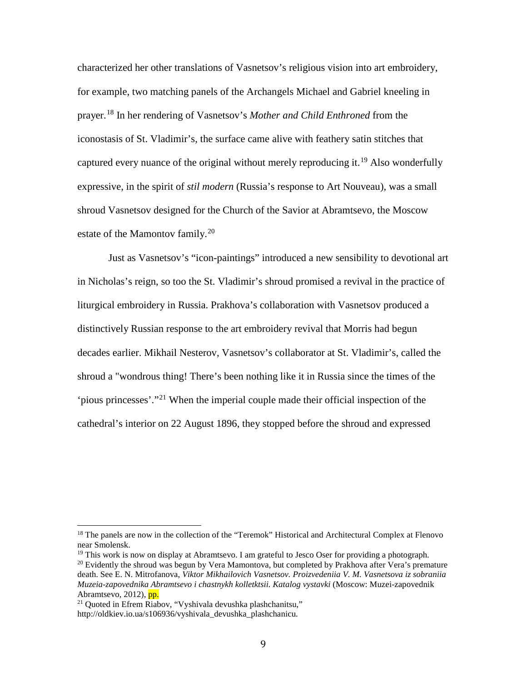characterized her other translations of Vasnetsov's religious vision into art embroidery, for example, two matching panels of the Archangels Michael and Gabriel kneeling in prayer.[18](#page-10-0) In her rendering of Vasnetsov's *Mother and Child Enthroned* from the iconostasis of St. Vladimir's, the surface came alive with feathery satin stitches that captured every nuance of the original without merely reproducing it.<sup>[19](#page-10-1)</sup> Also wonderfully expressive, in the spirit of *stil modern* (Russia's response to Art Nouveau), was a small shroud Vasnetsov designed for the Church of the Savior at Abramtsevo, the Moscow estate of the Mamontov family.<sup>[20](#page-10-2)</sup>

Just as Vasnetsov's "icon-paintings" introduced a new sensibility to devotional art in Nicholas's reign, so too the St. Vladimir's shroud promised a revival in the practice of liturgical embroidery in Russia. Prakhova's collaboration with Vasnetsov produced a distinctively Russian response to the art embroidery revival that Morris had begun decades earlier. Mikhail Nesterov, Vasnetsov's collaborator at St. Vladimir's, called the shroud a "wondrous thing! There's been nothing like it in Russia since the times of the 'pious princesses'."[21](#page-10-3) When the imperial couple made their official inspection of the cathedral's interior on 22 August 1896, they stopped before the shroud and expressed

<span id="page-10-0"></span><sup>&</sup>lt;sup>18</sup> The panels are now in the collection of the "Teremok" Historical and Architectural Complex at Flenovo near Smolensk.

<span id="page-10-2"></span><span id="page-10-1"></span><sup>&</sup>lt;sup>19</sup> This work is now on display at Abramtsevo. I am grateful to Jesco Oser for providing a photograph.  $^{20}$  Evidently the shroud was begun by Vera Mamontova, but completed by Prakhova after Vera's premature death. See E. N. Mitrofanova, *Viktor Mikhailovich Vasnetsov. Proizvedeniia V. M. Vasnetsova iz sobraniia Muzeia-zapovednika Abramtsevo i chastnykh kolletktsii. Katalog vystavki* (Moscow: Muzei-zapovednik Abramtsevo, 2012), pp.

<span id="page-10-3"></span><sup>21</sup> Quoted in Efrem Riabov, "Vyshivala devushka plashchanitsu," http://oldkiev.io.ua/s106936/vyshivala\_devushka\_plashchanicu.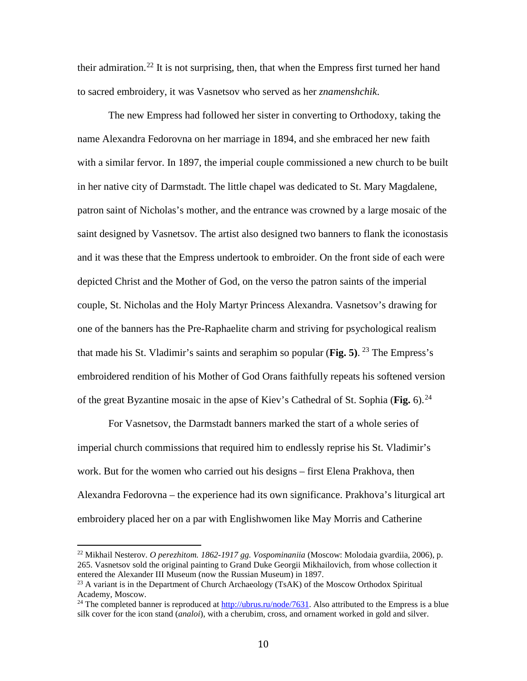their admiration.<sup>[22](#page-11-0)</sup> It is not surprising, then, that when the Empress first turned her hand to sacred embroidery, it was Vasnetsov who served as her *znamenshchik*.

The new Empress had followed her sister in converting to Orthodoxy, taking the name Alexandra Fedorovna on her marriage in 1894, and she embraced her new faith with a similar fervor. In 1897, the imperial couple commissioned a new church to be built in her native city of Darmstadt. The little chapel was dedicated to St. Mary Magdalene, patron saint of Nicholas's mother, and the entrance was crowned by a large mosaic of the saint designed by Vasnetsov. The artist also designed two banners to flank the iconostasis and it was these that the Empress undertook to embroider. On the front side of each were depicted Christ and the Mother of God, on the verso the patron saints of the imperial couple, St. Nicholas and the Holy Martyr Princess Alexandra. Vasnetsov's drawing for one of the banners has the Pre-Raphaelite charm and striving for psychological realism that made his St. Vladimir's saints and seraphim so popular (Fig. 5). <sup>[23](#page-11-1)</sup> The Empress's embroidered rendition of his Mother of God Orans faithfully repeats his softened version of the great Byzantine mosaic in the apse of Kiev's Cathedral of St. Sophia (**Fig.** 6). [24](#page-11-2)

For Vasnetsov, the Darmstadt banners marked the start of a whole series of imperial church commissions that required him to endlessly reprise his St. Vladimir's work. But for the women who carried out his designs – first Elena Prakhova, then Alexandra Fedorovna – the experience had its own significance. Prakhova's liturgical art embroidery placed her on a par with Englishwomen like May Morris and Catherine

<span id="page-11-0"></span><sup>22</sup> Mikhail Nesterov. *O perezhitom. 1862-1917 gg. Vospominaniia* (Moscow: Molodaia gvardiia, 2006), p. 265. Vasnetsov sold the original painting to Grand Duke Georgii Mikhailovich, from whose collection it entered the Alexander III Museum (now the Russian Museum) in 1897.

<span id="page-11-1"></span><sup>&</sup>lt;sup>23</sup> A variant is in the Department of Church Archaeology (TsAK) of the Moscow Orthodox Spiritual Academy, Moscow.

<span id="page-11-2"></span><sup>&</sup>lt;sup>24</sup> The completed banner is reproduced at [http://ubrus.ru/node/7631.](http://ubrus.ru/node/7631) Also attributed to the Empress is a blue silk cover for the icon stand (*analoi*), with a cherubim, cross, and ornament worked in gold and silver.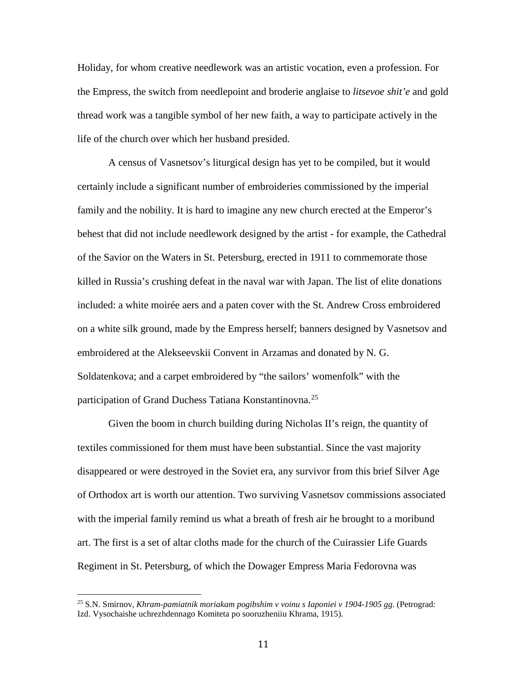Holiday, for whom creative needlework was an artistic vocation, even a profession. For the Empress, the switch from needlepoint and broderie anglaise to *litsevoe shit'e* and gold thread work was a tangible symbol of her new faith, a way to participate actively in the life of the church over which her husband presided.

A census of Vasnetsov's liturgical design has yet to be compiled, but it would certainly include a significant number of embroideries commissioned by the imperial family and the nobility. It is hard to imagine any new church erected at the Emperor's behest that did not include needlework designed by the artist - for example, the Cathedral of the Savior on the Waters in St. Petersburg, erected in 1911 to commemorate those killed in Russia's crushing defeat in the naval war with Japan. The list of elite donations included: a white moirée aers and a paten cover with the St. Andrew Cross embroidered on a white silk ground, made by the Empress herself; banners designed by Vasnetsov and embroidered at the Alekseevskii Convent in Arzamas and donated by N. G. Soldatenkova; and a carpet embroidered by "the sailors' womenfolk" with the participation of Grand Duchess Tatiana Konstantinovna.<sup>[25](#page-12-0)</sup>

Given the boom in church building during Nicholas II's reign, the quantity of textiles commissioned for them must have been substantial. Since the vast majority disappeared or were destroyed in the Soviet era, any survivor from this brief Silver Age of Orthodox art is worth our attention. Two surviving Vasnetsov commissions associated with the imperial family remind us what a breath of fresh air he brought to a moribund art. The first is a set of altar cloths made for the church of the Cuirassier Life Guards Regiment in St. Petersburg, of which the Dowager Empress Maria Fedorovna was

<span id="page-12-0"></span><sup>25</sup> S.N. Smirnov, *Khram-pamiatnik moriakam pogibshim v voinu s Iaponiei v 1904-1905 gg*. (Petrograd: Izd. Vysochaishe uchrezhdennago Komiteta po sooruzheniiu Khrama, 1915).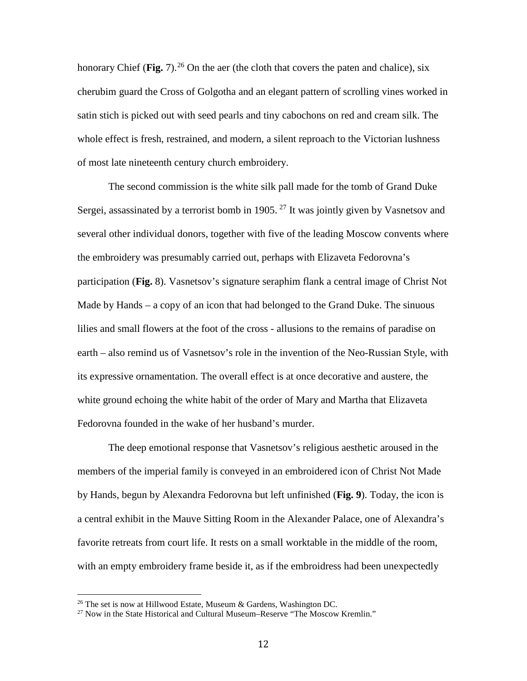honorary Chief (**Fig.** 7).<sup>[26](#page-13-0)</sup> On the aer (the cloth that covers the paten and chalice), six cherubim guard the Cross of Golgotha and an elegant pattern of scrolling vines worked in satin stich is picked out with seed pearls and tiny cabochons on red and cream silk. The whole effect is fresh, restrained, and modern, a silent reproach to the Victorian lushness of most late nineteenth century church embroidery.

The second commission is the white silk pall made for the tomb of Grand Duke Sergei, assassinated by a terrorist bomb in 1905. <sup>[27](#page-13-1)</sup> It was jointly given by Vasnetsov and several other individual donors, together with five of the leading Moscow convents where the embroidery was presumably carried out, perhaps with Elizaveta Fedorovna's participation (**Fig.** 8). Vasnetsov's signature seraphim flank a central image of Christ Not Made by Hands – a copy of an icon that had belonged to the Grand Duke. The sinuous lilies and small flowers at the foot of the cross - allusions to the remains of paradise on earth – also remind us of Vasnetsov's role in the invention of the Neo-Russian Style, with its expressive ornamentation. The overall effect is at once decorative and austere, the white ground echoing the white habit of the order of Mary and Martha that Elizaveta Fedorovna founded in the wake of her husband's murder.

The deep emotional response that Vasnetsov's religious aesthetic aroused in the members of the imperial family is conveyed in an embroidered icon of Christ Not Made by Hands, begun by Alexandra Fedorovna but left unfinished (**Fig. 9**). Today, the icon is a central exhibit in the Mauve Sitting Room in the Alexander Palace, one of Alexandra's favorite retreats from court life. It rests on a small worktable in the middle of the room, with an empty embroidery frame beside it, as if the embroidress had been unexpectedly

<span id="page-13-1"></span><span id="page-13-0"></span><sup>&</sup>lt;sup>26</sup> The set is now at Hillwood Estate, Museum & Gardens, Washington DC.<br><sup>27</sup> Now in the State Historical and Cultural Museum–Reserve "The Moscow Kremlin."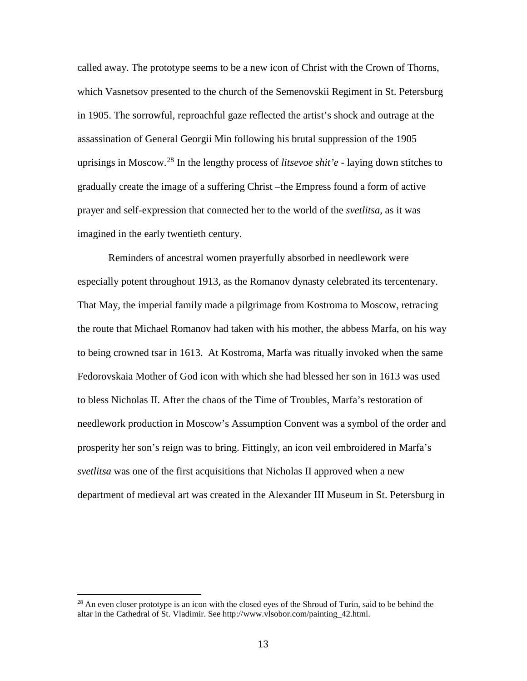called away. The prototype seems to be a new icon of Christ with the Crown of Thorns, which Vasnetsov presented to the church of the Semenovskii Regiment in St. Petersburg in 1905. The sorrowful, reproachful gaze reflected the artist's shock and outrage at the assassination of General Georgii Min following his brutal suppression of the 1905 uprisings in Moscow. [28](#page-14-0) In the lengthy process of *litsevoe shit'e* - laying down stitches to gradually create the image of a suffering Christ –the Empress found a form of active prayer and self-expression that connected her to the world of the *svetlitsa*, as it was imagined in the early twentieth century.

Reminders of ancestral women prayerfully absorbed in needlework were especially potent throughout 1913, as the Romanov dynasty celebrated its tercentenary. That May, the imperial family made a pilgrimage from Kostroma to Moscow, retracing the route that Michael Romanov had taken with his mother, the abbess Marfa, on his way to being crowned tsar in 1613. At Kostroma, Marfa was ritually invoked when the same Fedorovskaia Mother of God icon with which she had blessed her son in 1613 was used to bless Nicholas II. After the chaos of the Time of Troubles, Marfa's restoration of needlework production in Moscow's Assumption Convent was a symbol of the order and prosperity her son's reign was to bring. Fittingly, an icon veil embroidered in Marfa's *svetlitsa* was one of the first acquisitions that Nicholas II approved when a new department of medieval art was created in the Alexander III Museum in St. Petersburg in

<span id="page-14-0"></span> $^{28}$  An even closer prototype is an icon with the closed eyes of the Shroud of Turin, said to be behind the altar in the Cathedral of St. Vladimir. See http://www.vlsobor.com/painting\_42.html.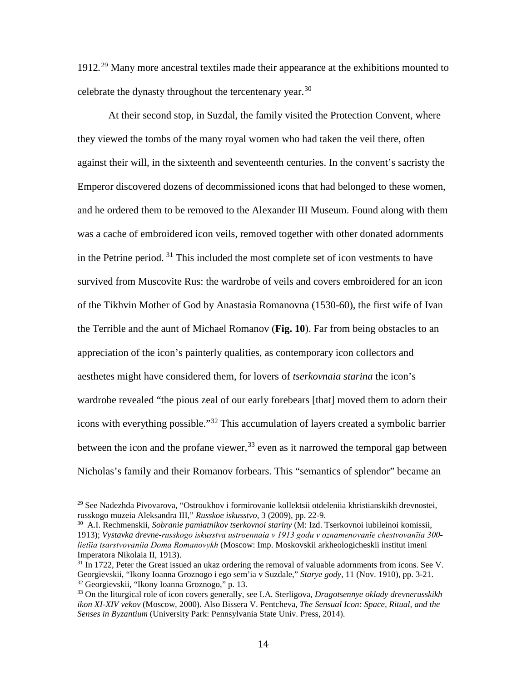1912*.* [29](#page-15-0) Many more ancestral textiles made their appearance at the exhibitions mounted to celebrate the dynasty throughout the tercentenary year.  $30$ 

At their second stop, in Suzdal, the family visited the Protection Convent, where they viewed the tombs of the many royal women who had taken the veil there, often against their will, in the sixteenth and seventeenth centuries. In the convent's sacristy the Emperor discovered dozens of decommissioned icons that had belonged to these women, and he ordered them to be removed to the Alexander III Museum. Found along with them was a cache of embroidered icon veils, removed together with other donated adornments in the Petrine period.  $31$  This included the most complete set of icon vestments to have survived from Muscovite Rus: the wardrobe of veils and covers embroidered for an icon of the Tikhvin Mother of God by Anastasia Romanovna (1530-60), the first wife of Ivan the Terrible and the aunt of Michael Romanov (**Fig. 10**). Far from being obstacles to an appreciation of the icon's painterly qualities, as contemporary icon collectors and aesthetes might have considered them, for lovers of *tserkovnaia starina* the icon's wardrobe revealed "the pious zeal of our early forebears [that] moved them to adorn their icons with everything possible."[32](#page-15-3) This accumulation of layers created a symbolic barrier between the icon and the profane viewer,  $33$  even as it narrowed the temporal gap between Nicholas's family and their Romanov forbears. This "semantics of splendor" became an

<span id="page-15-0"></span><sup>29</sup> See Nadezhda Pivovarova, "Ostroukhov i formirovanie kollektsii otdeleniia khristianskikh drevnostei, russkogo muzeia Aleksandra III," *Russkoe iskusstvo*, 3 (2009), pp. 22-9.

<span id="page-15-1"></span><sup>30</sup> A.I. Rechmenskii, *Sobranie pamiatnikov tserkovnoi stariny* (M: Izd. Tserkovnoi iubileinoi komissii, 1913); *Vystavka drevne-russkogo iskusstva ustroennaia v 1913 godu v oznamenovanīe chestvovanīia 300 lietīia tsarstvovaniia Doma Romanovykh* (Moscow: Imp. Moskovskii arkheologicheskii institut imeni Imperatora Nikolaia II, 1913).

<span id="page-15-2"></span> $31$  In 1722, Peter the Great issued an ukaz ordering the removal of valuable adornments from icons. See V. Georgievskii, "Ikony Ioanna Groznogo i ego sem'ia v Suzdale," *Starye gody*, 11 (Nov. 1910), pp. 3-21. <sup>32</sup> Georgievskii, "Ikony Ioanna Groznogo," p. 13.

<span id="page-15-4"></span><span id="page-15-3"></span><sup>33</sup> On the liturgical role of icon covers generally, see I.A. Sterligova, *Dragotsennye oklady drevnerusskikh ikon XI-XIV vekov* (Moscow, 2000). Also Bissera V. Pentcheva, *The Sensual Icon: Space, Ritual, and the Senses in Byzantium* (University Park: Pennsylvania State Univ. Press, 2014).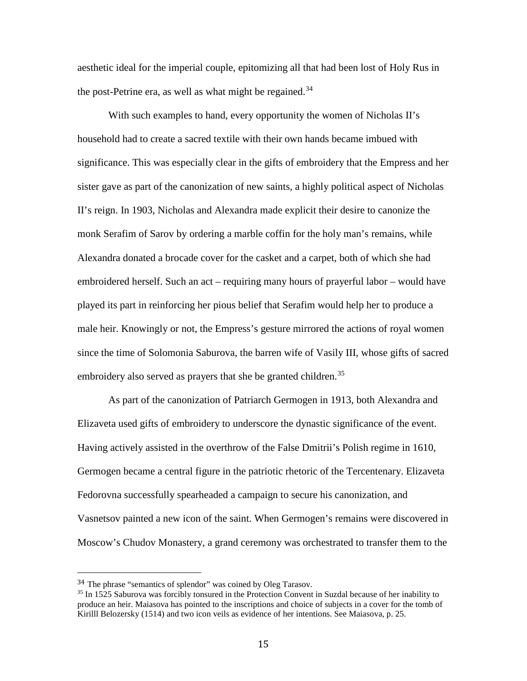aesthetic ideal for the imperial couple, epitomizing all that had been lost of Holy Rus in the post-Petrine era, as well as what might be regained.<sup>[34](#page-16-0)</sup>

With such examples to hand, every opportunity the women of Nicholas II's household had to create a sacred textile with their own hands became imbued with significance. This was especially clear in the gifts of embroidery that the Empress and her sister gave as part of the canonization of new saints, a highly political aspect of Nicholas II's reign. In 1903, Nicholas and Alexandra made explicit their desire to canonize the monk Serafim of Sarov by ordering a marble coffin for the holy man's remains, while Alexandra donated a brocade cover for the casket and a carpet, both of which she had embroidered herself. Such an act – requiring many hours of prayerful labor – would have played its part in reinforcing her pious belief that Serafim would help her to produce a male heir. Knowingly or not, the Empress's gesture mirrored the actions of royal women since the time of Solomonia Saburova, the barren wife of Vasily III, whose gifts of sacred embroidery also served as prayers that she be granted children.<sup>[35](#page-16-1)</sup>

As part of the canonization of Patriarch Germogen in 1913, both Alexandra and Elizaveta used gifts of embroidery to underscore the dynastic significance of the event. Having actively assisted in the overthrow of the False Dmitrii's Polish regime in 1610, Germogen became a central figure in the patriotic rhetoric of the Tercentenary. Elizaveta Fedorovna successfully spearheaded a campaign to secure his canonization, and Vasnetsov painted a new icon of the saint. When Germogen's remains were discovered in Moscow's Chudov Monastery, a grand ceremony was orchestrated to transfer them to the

<span id="page-16-0"></span> <sup>34</sup> The phrase "semantics of splendor" was coined by Oleg Tarasov.

<span id="page-16-1"></span><sup>&</sup>lt;sup>35</sup> In 1525 Saburova was forcibly tonsured in the Protection Convent in Suzdal because of her inability to produce an heir. Maiasova has pointed to the inscriptions and choice of subjects in a cover for the tomb of Kirilll Belozersky (1514) and two icon veils as evidence of her intentions. See Maiasova, p. 25.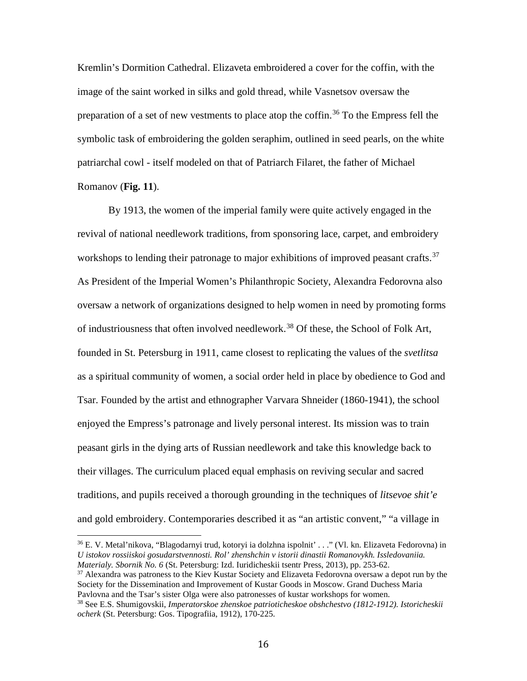Kremlin's Dormition Cathedral. Elizaveta embroidered a cover for the coffin, with the image of the saint worked in silks and gold thread, while Vasnetsov oversaw the preparation of a set of new vestments to place atop the coffin. [36](#page-17-0) To the Empress fell the symbolic task of embroidering the golden seraphim, outlined in seed pearls, on the white patriarchal cowl - itself modeled on that of Patriarch Filaret, the father of Michael Romanov (**Fig. 11**).

By 1913, the women of the imperial family were quite actively engaged in the revival of national needlework traditions, from sponsoring lace, carpet, and embroidery workshops to lending their patronage to major exhibitions of improved peasant crafts.<sup>[37](#page-17-1)</sup> As President of the Imperial Women's Philanthropic Society, Alexandra Fedorovna also oversaw a network of organizations designed to help women in need by promoting forms of industriousness that often involved needlework.<sup>[38](#page-17-2)</sup> Of these, the School of Folk Art, founded in St. Petersburg in 1911, came closest to replicating the values of the *svetlitsa* as a spiritual community of women, a social order held in place by obedience to God and Tsar. Founded by the artist and ethnographer Varvara Shneider (1860-1941), the school enjoyed the Empress's patronage and lively personal interest. Its mission was to train peasant girls in the dying arts of Russian needlework and take this knowledge back to their villages. The curriculum placed equal emphasis on reviving secular and sacred traditions, and pupils received a thorough grounding in the techniques of *litsevoe shit'e* and gold embroidery. Contemporaries described it as "an artistic convent," "a village in

<span id="page-17-0"></span><sup>36</sup> E. V. Metal'nikova, "Blagodarnyi trud, kotoryi ia dolzhna ispolnit' . . ." (Vl. kn. Elizaveta Fedorovna) in *U istokov rossiiskoi gosudarstvennosti. Rol' zhenshchin v istorii dinastii Romanovykh. Issledovaniia. Materialy. Sbornik No. 6* (St. Petersburg: Izd. Iuridicheskii tsentr Press, 2013), pp. 253-62.

<span id="page-17-1"></span> $37$  Alexandra was patroness to the Kiev Kustar Society and Elizaveta Fedorovna oversaw a depot run by the Society for the Dissemination and Improvement of Kustar Goods in Moscow. Grand Duchess Maria Pavlovna and the Tsar's sister Olga were also patronesses of kustar workshops for women.

<span id="page-17-2"></span><sup>38</sup> See E.S. Shumigovskii, *Imperatorskoe zhenskoe patrioticheskoe obshchestvo (1812-1912). Istoricheskii ocherk* (St. Petersburg: Gos. Tipografiia, 1912), 170-225.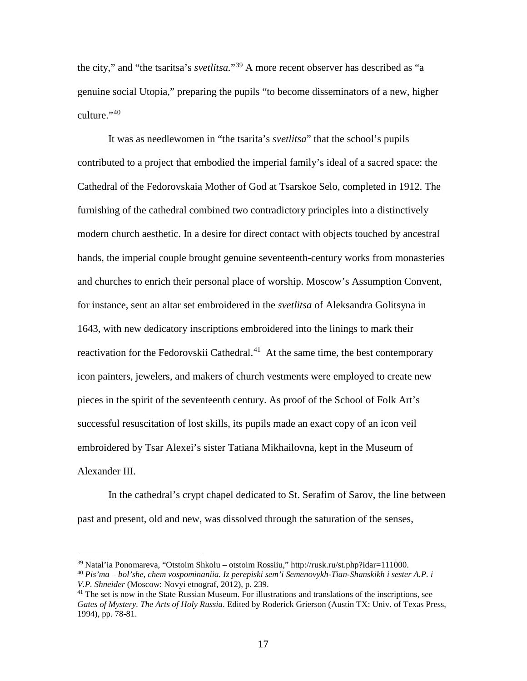the city," and "the tsaritsa's *svetlitsa.*"[39](#page-18-0) A more recent observer has described as "a genuine social Utopia," preparing the pupils "to become disseminators of a new, higher culture."<sup>[40](#page-18-1)</sup>

It was as needlewomen in "the tsarita's *svetlitsa*" that the school's pupils contributed to a project that embodied the imperial family's ideal of a sacred space: the Cathedral of the Fedorovskaia Mother of God at Tsarskoe Selo, completed in 1912. The furnishing of the cathedral combined two contradictory principles into a distinctively modern church aesthetic. In a desire for direct contact with objects touched by ancestral hands, the imperial couple brought genuine seventeenth-century works from monasteries and churches to enrich their personal place of worship. Moscow's Assumption Convent, for instance, sent an altar set embroidered in the *svetlitsa* of Aleksandra Golitsyna in 1643, with new dedicatory inscriptions embroidered into the linings to mark their reactivation for the Fedorovskii Cathedral.<sup>[41](#page-18-2)</sup> At the same time, the best contemporary icon painters, jewelers, and makers of church vestments were employed to create new pieces in the spirit of the seventeenth century. As proof of the School of Folk Art's successful resuscitation of lost skills, its pupils made an exact copy of an icon veil embroidered by Tsar Alexei's sister Tatiana Mikhailovna, kept in the Museum of Alexander III.

In the cathedral's crypt chapel dedicated to St. Serafim of Sarov, the line between past and present, old and new, was dissolved through the saturation of the senses,

<span id="page-18-0"></span><sup>39</sup> Natal'ia Ponomareva, "Otstoim Shkolu – otstoim Rossiiu," http://rusk.ru/st.php?idar=111000.

<span id="page-18-1"></span><sup>40</sup> *Pis'ma – bol'she, chem vospominaniia. Iz perepiski sem'i Semenovykh-Tian-Shanskikh i sester A.P. i V.P. Shneider* (Moscow: Novyi etnograf, 2012), p. 239.

<span id="page-18-2"></span><sup>&</sup>lt;sup>41</sup> The set is now in the State Russian Museum. For illustrations and translations of the inscriptions, see *Gates of Mystery. The Arts of Holy Russia*. Edited by Roderick Grierson (Austin TX: Univ. of Texas Press, 1994), pp. 78-81.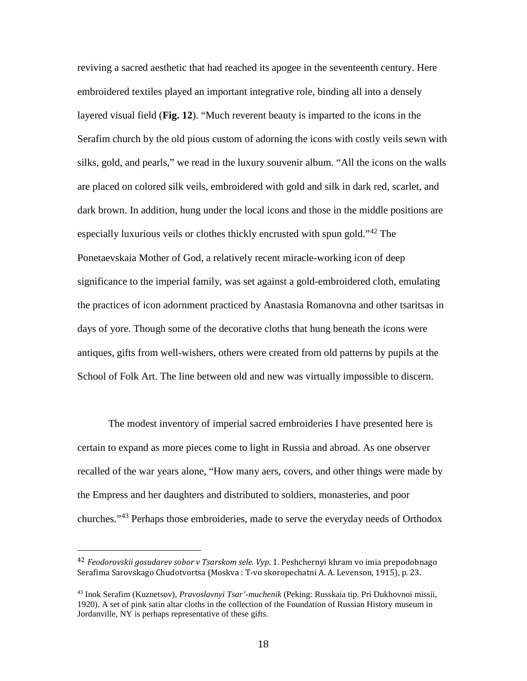reviving a sacred aesthetic that had reached its apogee in the seventeenth century. Here embroidered textiles played an important integrative role, binding all into a densely layered visual field (**Fig. 12**). "Much reverent beauty is imparted to the icons in the Serafim church by the old pious custom of adorning the icons with costly veils sewn with silks, gold, and pearls," we read in the luxury souvenir album. "All the icons on the walls are placed on colored silk veils, embroidered with gold and silk in dark red, scarlet, and dark brown. In addition, hung under the local icons and those in the middle positions are especially luxurious veils or clothes thickly encrusted with spun gold."<sup>[42](#page-19-0)</sup> The Ponetaevskaia Mother of God, a relatively recent miracle-working icon of deep significance to the imperial family, was set against a gold-embroidered cloth, emulating the practices of icon adornment practiced by Anastasia Romanovna and other tsaritsas in days of yore. Though some of the decorative cloths that hung beneath the icons were antiques, gifts from well-wishers, others were created from old patterns by pupils at the School of Folk Art. The line between old and new was virtually impossible to discern.

The modest inventory of imperial sacred embroideries I have presented here is certain to expand as more pieces come to light in Russia and abroad. As one observer recalled of the war years alone, "How many aers, covers, and other things were made by the Empress and her daughters and distributed to soldiers, monasteries, and poor churches."[43](#page-19-1) Perhaps those embroideries, made to serve the everyday needs of Orthodox

<span id="page-19-0"></span> <sup>42</sup> *Feodorovskii gosudarev sobor v Tsarskom sele. Vyp*. 1. Peshchernyi khram vo imia prepodobnago Serafima Sarovskago Chudotvortsa (Moskva : T-vo skoropechatni A. A. Levenson, 1915), p. 23.

<span id="page-19-1"></span><sup>43</sup> Inok Serafim (Kuznetsov), *Pravoslavnyi Tsar'-muchenik* (Peking: Russkaia tip. Pri Dukhovnoi missii, 1920). A set of pink satin altar cloths in the collection of the Foundation of Russian History museum in Jordanville, NY is perhaps representative of these gifts.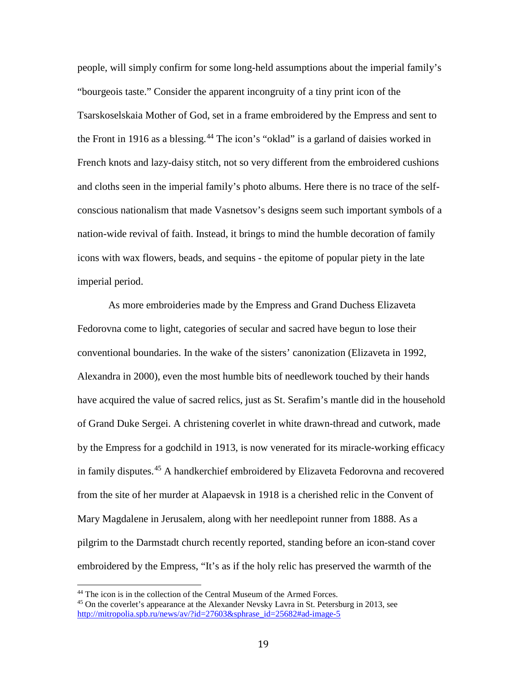people, will simply confirm for some long-held assumptions about the imperial family's "bourgeois taste." Consider the apparent incongruity of a tiny print icon of the Tsarskoselskaia Mother of God, set in a frame embroidered by the Empress and sent to the Front in 1916 as a blessing.<sup>[44](#page-20-0)</sup> The icon's "oklad" is a garland of daisies worked in French knots and lazy-daisy stitch, not so very different from the embroidered cushions and cloths seen in the imperial family's photo albums. Here there is no trace of the selfconscious nationalism that made Vasnetsov's designs seem such important symbols of a nation-wide revival of faith. Instead, it brings to mind the humble decoration of family icons with wax flowers, beads, and sequins - the epitome of popular piety in the late imperial period.

As more embroideries made by the Empress and Grand Duchess Elizaveta Fedorovna come to light, categories of secular and sacred have begun to lose their conventional boundaries. In the wake of the sisters' canonization (Elizaveta in 1992, Alexandra in 2000), even the most humble bits of needlework touched by their hands have acquired the value of sacred relics, just as St. Serafim's mantle did in the household of Grand Duke Sergei. A christening coverlet in white drawn-thread and cutwork, made by the Empress for a godchild in 1913, is now venerated for its miracle-working efficacy in family disputes. [45](#page-20-1) A handkerchief embroidered by Elizaveta Fedorovna and recovered from the site of her murder at Alapaevsk in 1918 is a cherished relic in the Convent of Mary Magdalene in Jerusalem, along with her needlepoint runner from 1888. As a pilgrim to the Darmstadt church recently reported, standing before an icon-stand cover embroidered by the Empress, "It's as if the holy relic has preserved the warmth of the

<span id="page-20-1"></span><span id="page-20-0"></span><sup>&</sup>lt;sup>44</sup> The icon is in the collection of the Central Museum of the Armed Forces.<br><sup>45</sup> On the coverlet's appearance at the Alexander Nevsky Lavra in St. Petersburg in 2013, see [http://mitropolia.spb.ru/news/av/?id=27603&sphrase\\_id=25682#ad-image-5](http://mitropolia.spb.ru/news/av/?id=27603&sphrase_id=25682#ad-image-5)